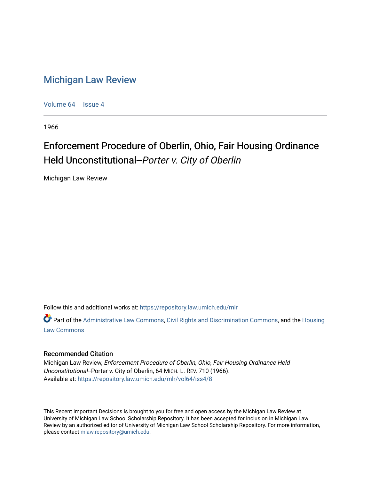## [Michigan Law Review](https://repository.law.umich.edu/mlr)

[Volume 64](https://repository.law.umich.edu/mlr/vol64) | [Issue 4](https://repository.law.umich.edu/mlr/vol64/iss4)

1966

# Enforcement Procedure of Oberlin, Ohio, Fair Housing Ordinance Held Unconstitutional--Porter v. City of Oberlin

Michigan Law Review

Follow this and additional works at: [https://repository.law.umich.edu/mlr](https://repository.law.umich.edu/mlr?utm_source=repository.law.umich.edu%2Fmlr%2Fvol64%2Fiss4%2F8&utm_medium=PDF&utm_campaign=PDFCoverPages) 

Part of the [Administrative Law Commons,](http://network.bepress.com/hgg/discipline/579?utm_source=repository.law.umich.edu%2Fmlr%2Fvol64%2Fiss4%2F8&utm_medium=PDF&utm_campaign=PDFCoverPages) [Civil Rights and Discrimination Commons,](http://network.bepress.com/hgg/discipline/585?utm_source=repository.law.umich.edu%2Fmlr%2Fvol64%2Fiss4%2F8&utm_medium=PDF&utm_campaign=PDFCoverPages) and the [Housing](http://network.bepress.com/hgg/discipline/846?utm_source=repository.law.umich.edu%2Fmlr%2Fvol64%2Fiss4%2F8&utm_medium=PDF&utm_campaign=PDFCoverPages)  [Law Commons](http://network.bepress.com/hgg/discipline/846?utm_source=repository.law.umich.edu%2Fmlr%2Fvol64%2Fiss4%2F8&utm_medium=PDF&utm_campaign=PDFCoverPages) 

#### Recommended Citation

Michigan Law Review, Enforcement Procedure of Oberlin, Ohio, Fair Housing Ordinance Held Unconstitutional--Porter v. City of Oberlin, 64 MICH. L. REV. 710 (1966). Available at: [https://repository.law.umich.edu/mlr/vol64/iss4/8](https://repository.law.umich.edu/mlr/vol64/iss4/8?utm_source=repository.law.umich.edu%2Fmlr%2Fvol64%2Fiss4%2F8&utm_medium=PDF&utm_campaign=PDFCoverPages)

This Recent Important Decisions is brought to you for free and open access by the Michigan Law Review at University of Michigan Law School Scholarship Repository. It has been accepted for inclusion in Michigan Law Review by an authorized editor of University of Michigan Law School Scholarship Repository. For more information, please contact [mlaw.repository@umich.edu.](mailto:mlaw.repository@umich.edu)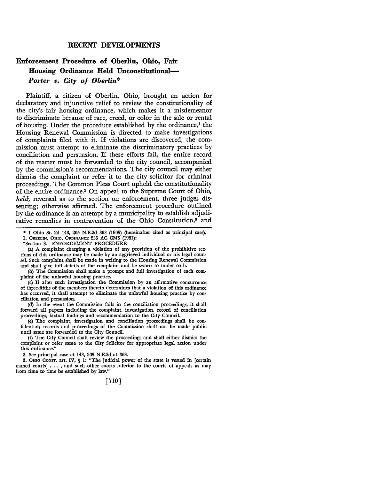#### **RECENT DEVELOPMENTS**

### **Enforcement Procedure of Oberlin, Ohio, Fair Housing Ordinance Held Unconstitutional-***Porter v. City of Oberlin\**

Plaintiff, a citizen of Oberlin, Ohio, brought an action for declaratory and injunctive relief to review the constitutionality of the city's fair housing ordinance, which makes it a misdemeanor to discriminate because of race, creed, or color in the sale or rental of housing. Under the procedure established by the ordinance,<sup>1</sup> the Housing Renewal Commission is directed to make investigations of complaints filed with it. If violations are discovered, the commission must attempt to eliminate the discriminatory practices by conciliation and persuasion. If these efforts fail, the entire record of the matter must be forwarded to the city council, accompanied by the commission's recommendations. The city council may either dismiss the complaint or refer it to the city solicitor for criminal proceedings. The Common Pleas Court upheld the constitutionality of the entire ordinance.2 On appeal to the Supreme Court of Ohio, held, reversed as to the section on enforcement, three judges dissenting; otherwise affirmed. The enforcement procedure outlined by the ordinance is an attempt by a municipality to establish adjudicative remedies in contravention of the Ohio Constitution,8 and

• 1 Ohio St. 2d 143, 205 N.E.2d 363 (1965) (hereinafter cited as principal case).

I. OBERLIN, OHIO, ORDINANCE 235 AC CMS (1961):

"Section 3. ENFORCEMENT PROCEDURE

(a) A complaint charging a violation of any provision of the prohibitive sec• tions of this ordinance may be made by an aggrieved individual or his legal counsel. Such complaint shall be made in writing to the Housing Renewal Commission and shall give full details of the complaint and be sworn to under oath.

(b) The Commission shall make a prompt and full investigation of each complaint of the unlawful housing practice.

(c) If after such investigation the Commission by an affirmative concurrence of three-fifths of the members thereto determines that a violation of this ordinance has occurred, it shall attempt to eliminate the unlawful housing practice by conciliation and persuasion.

(d) In the event the Commission fails in the conciliation proceedings, it shall forward all papers including the complaint, investigation, record of conciliation proceedings, factual findings and recommendation to the City Council.

(e) The complaint, investigation and conciliation proceedings shall be con• fidential; records and proceedings of the Commission shall not be made public until same are forwarded to the City Council.

(f) The City Council shall review the proceedings and shall either dismiss the complaint or refer same to the City Solicitor for appropriate legal action under this ordinance."

2. See principal case at 143, 205 N.E.2d at 363.

3. Omo CONST. art. IV, § 1: "The judicial power of the state is vested in [certain named courts]  $\ldots$ , and such other courts inferior to the courts of appeals as may from time to time be established by law."

[710]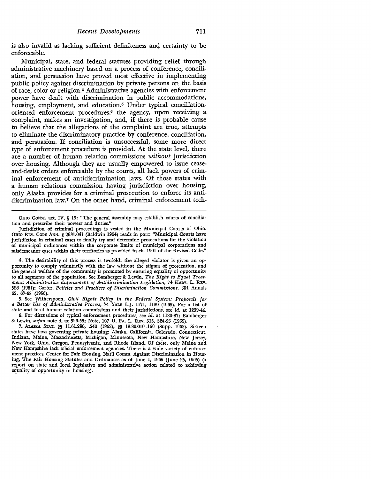is also invalid as lacking sufficient definiteness and certainty to be enforceable.

Municipal, state, and federal statutes providing relief through administrative machinery based on a process of conference, conciliation, and persuasion have proved most effective in implementing public policy against discrimination by private persons on the basis of race, color or religion.4 Administrative agencies with enforcement power have dealt with discrimination in public accommodations, housing, employment, and education.<sup>5</sup> Under typical conciliationoriented enforcement procedures,<sup>6</sup> the agency, upon receiving a complaint, makes an investigation, and, if there is probable cause to believe that the allegations of the complaint are true, attempts to eliminate the discriminatory practice by conference, conciliation, and persuasion. If conciliation is unsuccessful, some more direct type of enforcement procedure is provided. At the state level, there are a number of human relation commissions *without* jurisdiction over housing. Although they are usually empowered to issue ceaseand-desist orders enforceable by the courts, all lack powers of criminal enforcement of antidiscrimination laws. Of those states with a human relations commission having jurisdiction over housing, only Alaska provides for a criminal prosecution to enforce its antidiscrimination law.7 On the other hand, criminal enforcement tech-

4. The desirability of this process is twofold: the alleged violator is given an opportunity to comply voluntarily with the law without the stigma of prosecution, and the general welfare of the community is promoted by ensuring equality of opportunity to all segments of the population. See Bamberger 8: Lewin, *The Right to Equal Treat• ment: Administrative Enforcement of Antidiscrimination Legislation, 74 HARV. L. REV.* 526 (1961); Carter, *Policies and Practices of Discrimination Commissions,* 304 Annals 62, 67-68 (1956).

5. See Witherspoon, *Civil Rights Policy in the Federal System: Proposals for a Better Use of Administrative Process,* 74 YALE L.J. 1171, 1180 (1965). For a list of state and local human relation commissions and their jurisdictions, see *id.* at 1239-44. 6. For discussions of typical enforcement procedures, see *id.* at 1180-87; Bamberger

8: Lewin, *supra* note 4, at 526-55; Note, 107 U. PA. L. REv. 515, 524-25 (1959).

7. ALAsKA STAT. §§ 11.61.230, .240 (1962), §§ 18.80.010-.160 (Supp. 1963). Sixteen states have laws governing private housing: Alaska, California, Colorado, Connecticut, Indiana, Maine, Massachusetts, Michigan, Minnesota, New Hampshire, New Jersey, New York, Ohio, Oregon, Pennsylvania, and Rhode Island. Of these, only Maine and New Hampshire lack official enforcement agencies. There is a wide variety of enforcement practices. Center for Fair Housing, Nat'! Comm. Against Discrimination in Housing, The Fair Housing Statutes and Ordinances as of June 1, 1965 (June 25, 1965) (a report on state and local legislative and administrative action related to achieving equality of opportunity in housing).

Omo CoNsr. art. IV, § 19: "The general assembly may establish courts of conciliation and prescribe their powers and duties."

Jurisdiction of criminal proceedings is vested in the Municipal Courts of Ohio. OHIO REV. CODE ANN. § 2931.041 (Baldwin 1964) reads in part: "Municipal Courts have jurisdiction in criminal cases to finally try and determine prosecutions for the violation of municipal ordinances within the corporate limits of municipal corporations and misdemeanor qises within their territories as provided in ch. 1901 of the Revised Code."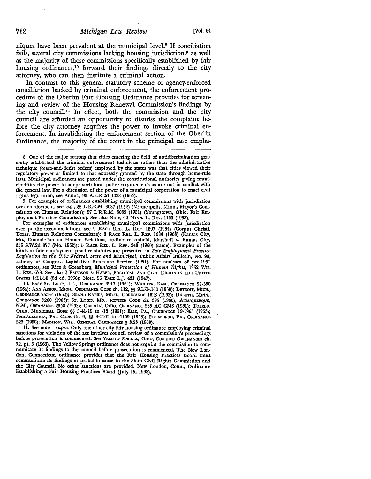niques have been prevalent at the municipal level.8 If conciliation fails, several city commissions lacking housing jurisdiction,<sup>9</sup> as well as the majority of those commissions specifically established by fair housing ordinances,10 forward their findings directly to the city attorney, who can then institute a criminal action.

In contrast to this general statutory scheme of agency-enforced conciliation backed by criminal enforcement, the enforcement procedure of the Oberlin Fair Housing Ordinance provides for screening and review of the Housing Renewal Commission's findings by the city council.11 In effect, both the commission and the city council are afforded an opportunity to dismiss the complaint before the city attorney acquires the power to invoke criminal enforcement. In invalidating the enforcement section of the Oberlin Ordinance, the majority of the court in the principal case empha-

9. For examples of ordinances establishing municipal commissions with jurisdiction over employment, see, *e.g.,* 28 L.R.R.M. 3087 (1952) (Minneapolis, Minn., Mayor's Commission on Human Relations); 27 L.R.R.M. 3039 (1951) (Youngstown, Ohio, Fair Em• ployment Practices Commission). See also Note, 42 MINN. L. REv. 1163 (1958).

For examples of ordinances establishing municipal commissions with jurisdiction over public accommodations, see 9 RACE REL. L. REP. 1897 (1964) (Corpus Christi, Texas, Human Relations Committee); 8 RACE REL. L. REP. 1684 (1963) (Kansas City, Mo., Commission on Human Relations; ordinance upheld, Marshall v. Kansas City, 355 S.W .2d 877 (Mo. 1962)); 5 RACE REL. L. REP. 248 (1960) (same). Examples of the kinds of fair employment practice statutes are presented in *Fair Employment Practice Legislation in the U.S.: Federal, State and Municipal,* Public Affairs Bulletin, No. 93, Library of Congress Legislative Reference Service (1951). For analyses of pre-1951 ordinances, see Rice & Greenberg, *Municipal Protection of Human Rights,* 1952 Wis. L. REV. 679. See also 2 EMERSON & HABER, POLITICAL AND CIVIL RIGHTS IN THE UNITED STATES 1451-58 (2d ed. 1958); Note, 56 YALE L.J. 431 (1947).

10. EAsT ST. LOUIS, ILL., ORDINANCE 3913 (1964); WICHITA, KAN., ORDINANCE 27-550 (1964); ANN ARBOR, MICFf., ORDINANCE CODE ch. 112, §§ 9.151-.160 (1963); DETROIT, MICH,, ORDINANCE 753-F (1962); GRAND RAPIDS, MICH., ORDINANCE 1628 (1963); DULUTH, MINN., ORDINANCE 7260 (1963); ST. LOUIS, Mo., REv!SED CODE ch. 395 (1960); ALBUQUERQUE, N.M., ORDINANCE 2358 (1963); OBERLIN, Omo, ORDINANCE 235 AC CMS (1961); TOLEDO, Omo, MUNICIPAL CODE §§ 3-41-15 to -18 (1961); ERIE, PA., ORDINANCE 19-1963 (1963); PHILADELPHIA, PA., CODE tit. 9, §§ 9-1101 to -1109 (1963); PITTSBURGH, PA., ORDINANCE 523 (1958); MADISON, WIS., GENERAL ORDINANCES § 3.23 (1963).

11. See note 1 *supra.* Only one other city fair housing ordinance employing criminal sanctions for violation of the act involves council review of a commission's proceedings before prosecution is commenced. See YELLOW SPRINGS, OHIO, CODIFIED ORDINANCES ch. 72, pt. *5* (1963). The Yellow Springs ordinance docs not *require* the commission to com• municate its findings to the council before prosecution is commenced. The New Lon• don, Connecticut, ordinance provides that the Fair Housing Practices Board must communicate its findings of probable cause to the State Civil Rights Commission and the City Council. No other sanctions are provided. New London, Conn., Ordinance Establishing a Fair Housing Practices Board (July 15, 1963).

<sup>8.</sup> One of the major reasons that cities entering the field of antidiscrimination generally established the criminal enforcement technique rather than the administrative technique (cease-and-desist orders) employed by the states was that cities viewed their regulatory power as limited to that expressly granted by the state through home-rule laws. Municipal ordinances are passed under the constitutional authority giving muni• cipalities the power to adopt such local police requirements as are not in conflict with the general law. For a discussion of the power of a municipal corporation to enact civil rights legislation, see Annot., 93 A.L.R.2d 1028 (1964).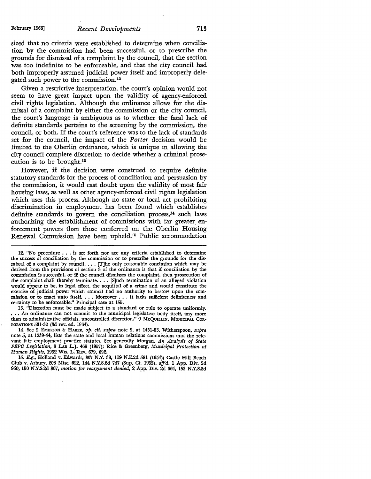sized that no criteria were established to determine when conciliation by the commission had been successful, or to prescribe the grounds for dismissal of a complaint by the council, that the section was too indefinite to be enforceable, and that the city council had both improperly assumed judicial power itself and improperly delegated such power to the commission.12

Given a restrictive interpretation, the court's opinion would not seem to have great impact upon the validity of agency-enforced civil rights legislation. Although the ordinance allows for the dismissal of a complaint by either the commission or the city council, the court's language is ambiguous as to whether the fatal lack of definite standards pertains to the screening by the commission, the council, or both. If the court's reference was to the lack of standards set for the council, the impact of the *Porter* decision would be limited to the Oberlin ordinance, which is unique in allowing the city council complete discretion to decide whether a criminal prosecution is to be brought.18

However, if the decision were construed to require definite statutory standards for the process of conciliation and persuasion by the commission, it would cast doubt upon the validity of most fair housing laws, as well as other agency-enforced civil rights legislation which uses this process. Although no state or local act prohibiting discrimination in employment has been found which establishes definite standards to govern the conciliation process,<sup>14</sup> such laws authorizing the establishment of commissions with far greater enforcement powers than those conferred on the Oberlin Housing Renewal Commission have been upheld.15 Public accommodation

13. "Discretion must be made subject to a standard or rule to operate uniformly. • • • An ordinance can not commit to the municipal legislative body itself, any more than to administrative officials, uncontrolled discretion." 9 McQuILLIN, MUNICIPAL COR-PORATIONS 531-32 (3d rev. ed. 1964).

14. See 2 EMERSON & HABER, *op. cit. supra* note 9, at 1451-83. Witherspoon, *supra*  note 5, at 1239-44, lists the state and local human relations commissions and the relevant fair employment practice statutes. See generally Morgan, *An Analysis of State FEPC Legislation,* 8 LAB L.J. 469 (1957); Rice & Greenberg, *Munidpal Protection of Human Rights,* 1952 WIS. L. REv. 679, 692.

15. E.g., Holland v. Edwards, 307 N.Y. 38, 119 N.E.2d 581 (1954); Castle Hill Beach Club v. Arbury, 208 Misc. 622, 144 N.Y.S.2d 747 (Sup. Ct. 1955), *afj'd,* 1 App. Div. 2d 950, 150 N.Y.S.2d 367, *motion for reargument denied,* 2 App. Div. 2d 664, 153 N.Y.S.2d

<sup>12. &</sup>quot;No procedure . . . is set forth nor are any criteria established to determine the success of conciliation by the commission or to prescribe the grounds for the dismissal of a complaint by council. . . . [T]he only reasonable conclusion which may be derived from the provisions of section 3 of the ordinance is that if conciliation by the commission is successful, or if the council dismisses the complaint, then prosecution of the complaint shall thereby terminate. . . . [S]uch termination of an alleged violation would appear to be, in legal effect, the acquittal of a crime and would constitute the exercise of judicial power which council had no authority to bestow upon the comexercise or junicial power which council had no additionly to bestow upon the com-<br>mission or to enact unto itself. . . Moreover . . . it lacks sufficient definiteness and<br>certainty to be enforceable." Principal case at 15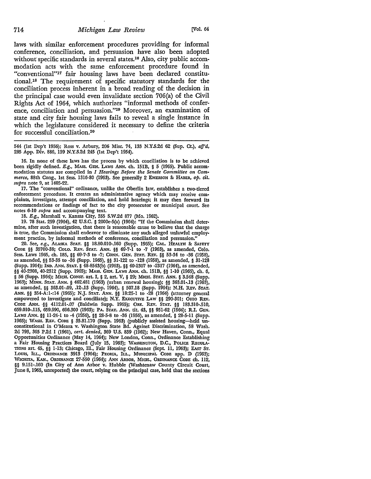laws with similar enforcement procedures providing for informal conference, conciliation, and persuasion have also been adopted without specific standards in several states.<sup>16</sup> Also, city public accommodation acts with the same enforcement procedure found in "conventional"17 fair housing laws have been declared constitutional.18 The requirement of specific statutory standards for the conciliation process inherent in a broad reading of the decision in the principal case would even invalidate section 706(a) of the Civil Rights Act of 1964, which authorizes "informal methods of conference, conciliation and persuasion."19 Moreover, an examination of state and city fair housing laws fails to reveal a single instance in which the legislature considered it necessary to define the criteria for successful conciliation.20

544 (1st Dep't 1956); Ross v. Arbury, 206 Misc. 74, 133 N.Y.S.2d 62 (Sup. Ct.), *aff'd,*  285 App. Div. 886, 139 N.Y.S.2d 245 (1st Dep't 1954).

16. In none of these laws has the process by which conciliation is to be achieved been rigidly defined. E.g., MAss. GEN. LAws ANN. ch. 151B, § 5 (1965). Public accommodation statutes are compiled in *1 Hearings Before the Senate Committee on Com• merce,* 88th Cong., 1st Sess. 1316-80 (1963). See generally 2 EMERSON &: HADER, *op, cit. supra* note 9, at 1405-22.

17. The "conventional" ordinance, unlike the Oberlin law, establishes a two-tiered enforcement procedure. It creates an administrative agency which may receive complaints, investigate, attempt conciliation, and hold hearings; it may then forward its recommendations or findings of fact to the city prosecutor or municipal court. See notes 6-10 *supra* and accompanying text.

18. E.g., Marshall v. Kansas City, 355 S.W.2d 877 (Mo. 1962).

19. 78 Stat. 259 (1964), 42 U.S.C. § 2000e-5(a) (1964): "If the Commission shall determine, after such investigation, that there is reasonable cause to believe that the charge is true, the Commission shall endeavor to eliminate any such alleged unlawful employment practice, by informal methods of conference, conciliation and persuasion."

20. See, *e.g.,* ALASKA STAT. §§ 18.80.010-.160 (Supp. 1965); CAL. HEALTH &: SAFETY CODE §§ 35700-38; CoLO. REv. STAT. ANN. §§ 69-7-1 to -7 (1963), as amended, Colo. Sess. Laws 1965, ch. 185, §§ 69-7-3 to -7; CONN. GEN. STAT. REv. §§ 53-34 to -36 (1958), as amended, §§ 53-35 to -36 (Supp. 1965), §§ 31-122 to -128 (1958), as amended, § 31-128 (Supp. 1964); IND. ANN. STAT.§ 48-8543(b) (1963), §§ 40-2307 to -2317 (1964), as amended, §§ 40-2308, 40-2312 (Supp. 1965); MAss. GEN. LAws ANN. ch. 151B, §§ 1-10 (1965), ch. 6, § 56 (Supp. 1964); MICH. CONST. art. I, § 2, art. V, § 29; MICH. STAT. ANN. § 3.548 (Supp. 1963); MINN. STAT. ANN. § 462.481 (1963) (urban renewal housing); §§ 363.01-.13 (1963), as amended, §§ 363.01-.09, .12-.13 (Supp. 1964), § 507.18 (Supp. 1964); N.H. REv. STAT. ANN. §§ 354-A:l-:14 (1965); N.J. STAT. ANN. §§ 18:25-1 to -28 (1964) (attorney general empowered to investigate and conciliate); N.Y. ExECUTIVE LAW §§ 290-301; OHIO REV. CODE ANN. ·§§ 4II2.0l-.o7 (Baldwin Supp. 1965); ORE. REv. STAT. §§ 183.310-.510, 659.010-.ll5, 659.990, 696.300 (1963); PA. STAT. ANN. tit. 43, §§ 951-62 (1964); R,I. GEN, LAws ANN. §§ 11-24-1 to -4 (1956), §§ 28-5-8 to -36 (1956), as amended, § 28-5-11 (Supp, 1965); WASH. REv. CODE § 35.8I.170 (Supp. 1963) (publicly assisted housing-held unconstitutional in O'Meara v. Washington State Bd. Against Discrimination, 58 Wash. 2d 793, 365 P.2d I (1961), *cert. denied,* 369 U.S. 839 (1962); New Haven, Conn., Equal Opportunities Ordinance (May 14, 1964); New London, Conn., Ordinance Establishing a Fair Housing Practices Board (July 15, 1963); WASHINGTON, D.C., POLICE REGULA-TIONS art. 45, §§ 1-13; Chicago, Ill., Fair Housing Ordinance (Sept. II, 1963); EAST ST, Lours, ILL., ORDINANCE 3913 (1964); PEORIA, ILL., MUNICIPAL CoDE app. D (1963); WICHITA, KAN., ORDINANCE 27-550 (1964); ANN ARBOR, MICH., ORDINANCE CODE ch. 112, §§ 9.151-.160 (In City of Ann Arbor v. Hubble (Washtenaw County Circuit Court, June 8, 1965, unreported) the court, relying on the principal case, held that the sections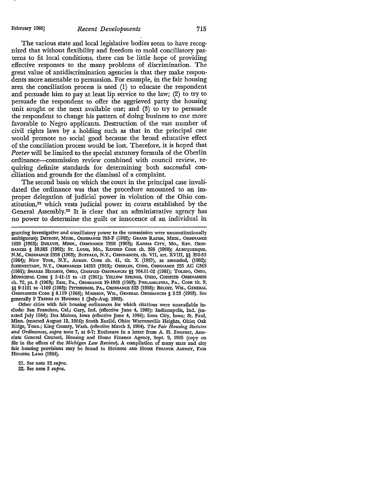#### February 1966] *Recent Developments* 715

The various state and local legislative bodies seem to have recognized that without flexibility and freedom to mold conciliatory patterns to fit local conditions, there can be little hope of providing effective responses to the many problems of discrimination. The great value of antidiscrimination agencies is that they make respondents more amenable to persuasion. For example, in the fair housing area the conciliation process is used (1) to educate the respondent and persuade him to pay at least lip service to the law; (2) to try to persuade the respondent to offer the aggrieved party the housing unit sought or the next available one; and (3) to try to persuade the respondent to change his pattern of doing business to one more favorable to Negro applicants. Destruction of the vast number of civil rights laws by a holding such as that in the principal case would promote no social good because the broad educative effect of the conciliation process would be lost. Therefore, it is hoped that *Porter* will be limited to the special statutory formula of the Oberlin ordinance-commission review combined with council review, requiring definite standards for determining both successful conciliation and grounds for the dismissal of a complaint.

The second basis on which the court in the principal case invalidated the ordinance was that the procedure amounted to an improper delegation of judicial power in violation of the Ohio constitution,21 which vests judicial power in courts established by the General Assembly.22 It is clear that an administrative agency has no power to determine the guilt or innocence of an individual in

Other cities with fair housing ordinances for which citations were unavailable include: San Francisco, Cal.; Gary, Ind. (effective June 4, 1965); Indianapolis, Ind. (enacted July 1964); Des Moines, Iowa (effective June 4, 1964); Iowa City, Iowa; St. Paul, Minn. (enacted August 13, 1964); South Euclid, Ohio; Warrensville Heights, Ohio; Oak Ridge, Tenn.; King County, Wash. (effective March 3, 1964). *The Fair Housing Statutes and Ordinances, supra* note 7, at 6-7; Enclosure in a letter from A. H. Zwerner, Associate General Counsel, Housing and Home Finance Agency, Sept. 9, 1965 (copy on file in the offices of the *Michigan Law Review).* A compilation of many state and city fair housing provisions may be found in HOUSING AND HOME FINANCE AGENCY, FAIR HOUSING LAws (1964).

21. See note 12 *supra.*  22. See note 3 *supra.* 

granting investigative and conciliatory power to the commission were unconstitutionally ambiguous); DETROIT, MICH., ORDINANCE 753-F (1962); GRAND RAPIDS, MICH., ORDINANCE 1628 (1963); DULUTH, MINN., ORDINANCE 7260 (1963); KANSAS CITY, Mo., REv. ORDI-NANCES § 39.585 (1962); ST. LOUIS, Mo., REVISED CODE cb. 395 (1960); ALBUQUERQUE, N.M., Ordinance 2358 (1963); Buffalo, N.Y., Ordinances, ch. VII, art. XVIII, §§ 350-53 (1964); NEW YoRK, N.Y., ADMIN. CODE cb. 41, tit. X (1957), as amended, (1962); SCHENECTADY, N.Y., ORDINANCES 14353 (1963); OBERLIN, OHIO, ORDINANCE 235 AC CMS (1961); SHAKER HEIGHTS, Omo, CODIFIBD ORDINANCES §§ 704.01-02 (1961); TOLEDO, Omo, MUNICIPAL CODE § 3-41-15 to -18 (1961); YELLOW SPRINGS, OHIO, CODIFIED ORDINANCES cb. 72, pt. 5 (1963); ERIE, PA., ORDINANCE 19-1963 (1963); PHILADELPHIA, PA., CODE tit. 9, §§ 9-1101 to -1109 (1963); Pittsburgh, Pa., Ordinance 523 (1958); Beloit, Wis., General ORDINANCES CODE § 8.119 (1964); MADISON, WIS., GENERAL ORDINANCES § 3.23 (1963). See generally 9 TRENDS IN HOUSING I (July-Aug. 1965).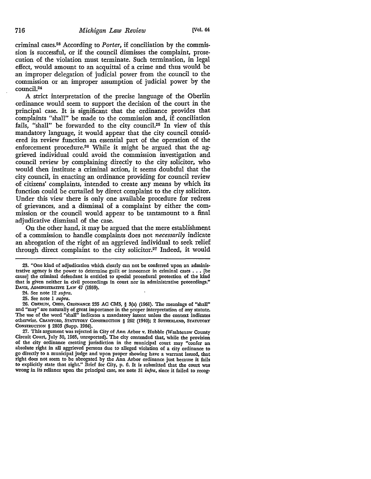criminal cases.28 According to *Porter,* if conciliation by the commission is successful, or if the council dismisses the complaint, prosecution of the violation must terminate. Such termination, in legal effect, would amount to an acquittal of a crime and thus would be an improper delegation of judicial power from the council to the commission or an improper assumption of judicial power by the council.24

A strict interpretation of the precise language of the Oberlin ordinance would seem to support the decision of the court in the principal case. It is significant that the ordinance provides that complaints "shall" be made to the commission and, if conciliation fails, "shall" be forwarded to the city council.<sup>25</sup> In view of this mandatory language, it would appear that the city council considered its review function an essential part of the operation of the enforcement procedure.26 While it might be argued that the aggrieved individual could avoid the commission investigation and council review by complaining directly to the city solicitor, who would then institute a criminal action, it seems doubtful that the city council, in enacting an ordinance providing for council review of citizens' complaints, intended to create any means by which its function could be curtailed by direct complaint to the city solicitor. Under this view there is only one available procedure for redress of grievances, and a dismissal of a complaint by either the commission or the council would appear to be tantamount to a final adjudicative dismissal of the case.

On the other hand, it may be argued that the mere establishment of a commission to handle complaints does not *necessarily* indicate an abrogation of the right of an aggrieved individual to seek relief through direct complaint to the city solicitor.27 Indeed, it would

24. See note 12 *supra.* 

25. See note 1 *supra.* 

<sup>23. &</sup>quot;One kind of adjudication which clearly can not be conferred upon an adminis• trative agency is the power to determine guilt or innocence in criminal cases • • • [be cause) the criminal defendant is entitled to special procedural protection of the kind that is given neither in civil proceedings in court nor in administrative proceedings," DAVIS, ADMINISTRATIVE LAW 47 (1959).

<sup>26.</sup> OBERLIN, Omo, ORDINANCE 235 AC CMS, § 3(a) (1961). The meanings of "shall" and "may" are naturally of great importance in the proper interpretation of any statute. The use of the word "shall" indicates a mandatory intent unless the context indicates otherwise. CRAWFORD, STATUTORY CONSTRUCTION § 262 (1940); 2 SUTHERLAND, STATUTORY CONSTRUCTION § 2803 (Supp. 1964).

<sup>27.</sup> This argument was rejected in City of Ann Arbor v. Hubble (Washtenaw County Circuit Court, July 30, 1965, unreported). The city contended that, while the provision of the city ordinance creating jurisdiction in the municipal court may "confer an absolute right in all aggrieved persons due to alleged violation of a city ordinance to go directly to a municipal judge and upon proper showing have a warrant issued, that right does not seem to be abrogated by the Ann Arbor ordinance just because it fails to explicitly state that right." Brief for City, p. 6. It is submitted that the court was wrong in its reliance upon the principal case, see note 31 infra, since it failed to recog-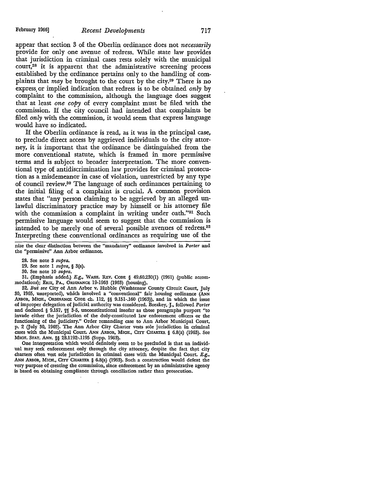#### February 1966] *Recent Developments* 717

appear that section 3 of the Oberlin ordinance does not *necessarily*  provide for only one avenue of redress. While state law provides that jurisdiction in criminal cases rests solely with the municipal  $court<sub>28</sub>$  it is apparent that the administrative screening process established by the ordinance pertains only to the handling of complaints that *may* be brought to the court by the city.29 There is no express, or implied indication that redress is to be obtained *only* by complaint to the commission, although the language does suggest that at least *one copy* of every complaint must be filed with the commission. If the city council had intended that complaints be filed *only* with the commission, it would seem that express language would have so indicated.

If the Oberlin ordinance is read, as it was in the principal case, to preclude direct access by aggrieved individuals to the city attorney, it is important that the ordinance be distinguished from the more conventional statute, which is framed in more permissive terms and is subject to broader interpretation. The more conventional type of antidiscrimination law provides for criminal prosecution as a misdemeanor in case of violation, unrestricted by any type of council review.80 The language of such ordinances pertaining to the initial filing of a complaint is crucial. A common provision states that "any person claiming to be aggrieved by an alleged unlawful discriminatory practice *may* by himself or his attorney file with the commission a complaint in writing under oath."<sup>31</sup> Such permissive language would seem to suggest that the commission is intended to be merely one of several possible avenues of redress.82 Interpreting these conventional ordinances as requiring use of the

nize the clear distinction between the "mandatory" ordinance involved in *Porter* and the "permissive" Ann Arbor ordinance.

28. See note 3 *supra.* 

29. See note l *supra,* § 3(a).

30. See note 10 *supra.* 

31. (Emphasis added.) E.g., WASH. REV. CODE § 49.60.230(1) (1961) (public accommodations); ERIE, PA., ORDINANCE 19-1963 (1963) (housing).

32. *But see* City of Ann Arbor v. Hubble (Washtenaw County Circuit Court, July 30, 1965, unreported), which involved a "conventional" fair housing ordinance (ANN .ARBOR, MICH., ORDINANCE CODE ch. 112, §§ 9.151-.160 (1963)), and in which the issue of improper delegation of judicial authority was considered. Breakey, J., followed *Porter*  and declared  $\S$  9.157,  $\iiint 3-5$ , unconstitutional insofar as those paragraphs purport "to invade either the jurisdiction of the duly-constituted law enforcement officers or the functioning of the judiciary." Order remanding case to Ann Arbor Municipal Court, p. 2 Guly 30, 1965). The Ann Arbor City Charter vests sole jurisdiction in crintlnal cases with the Municipal Court. ANN ARBOR, MICH., CITY CHARTER § 6.8(a) (1963). See MICH. STAT. ANN. §§ 28.1192-.1195 (Supp. 1963).

One interpretation which would definitely seem to be precluded is that an individual may seek enforcement only through the city attorney, despite the fact that city charters often vest sole jurisdiction in criminal cases with the Municipal Court. E.g., ANN ARBOR, MICH., CITY CHARTER § 6.8(a) (1963). Such a construction would defeat the very purpose of creating the commission, since enforcement by an administrative agency is based on obtaining compliance through conciliation rather than prosecution.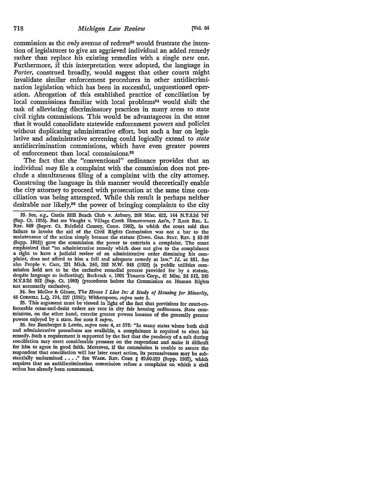commission as the *only* avenue of redress<sup>33</sup> would frustrate the intention of legislatures to give an aggrieved individual an added remedy rather than replace his existing remedies with a single new one. Furthermore, if this interpretation were adopted, the language in *Porter,* construed broadly, would suggest that other courts might invalidate similar enforcement procedures in other antidiscrimination legislation which has been in successful, unquestioned operation. Abrogation of this established practice of conciliation by local commissions familiar with local problems<sup>34</sup> would shift the task of alleviating discriminatory practices in many areas to state civil rights commissions. This would be advantageous in the sense that it would consolidate statewide enforcement powers and policies without duplicating administrative effort, but such a bar on legislative and administrative screening could logically extend to *state*  antidiscrimination commissions, which have even greater powers of enforcement than local commissions.85

The fact that the "conventional" ordinance provides that an individual *may* file a complaint with the commission does not preclude a simultaneous filing of a complaint with the city attorney. Construing the language in this manner would theoretically enable the city attorney to proceed with prosecution at the same time conciliation was being attempted. While this result is perhaps neither desirable nor likely,<sup>86</sup> the power of bringing complaints to the city

34. See McGee &: Ginser, *The House I Live In: A Study of Housing for Minority,*  46 CORNELL L.Q. 194, 227 (1961); Witherspoon, *supra* note 5.

35. This argument must be viewed in light of the fact that provisions for court-en• forceable cease-and-desist orders are rare in city fair housing ordinances. State commissions, on the other hand, exercise greater powers because of the generally greater powers enjoyed by a state. See note 8 *supra.* 

36. See Bamberger &: Lewin, *supra* note 4, at 573: "In many states where both civil and administrative procedures are available, a complainant is required to elect bis remedy. Such a requirement is supported by the fact that the pendency of a suit during conciliation may exert considerable pressure on the respondent and make it difficult for him to agree in good faith. Moreover, if the commission is unable to assure the respondent that conciliation will bar later court action, its persuasiveness may be substantially undermined . . . ." See WASH. REV. CODE § 49.60.020 (Supp. 1965), which requires that an antidiscrimination commission refuse a complaint on which a civil action bas already been commenced.

<sup>33.</sup> See, *e.g.,* Castle Hill Beach Club v. Arbury, 208 Misc. 622, 144 **N.Y.S.2d** 747 (Sup. Ct, 1955). But see Vaught v. Village Creek Homeowners Ass'n, 7 RACE REL. L, REP. 849 (Super. Ct. Fairfield County, Conn. 1962), in which the court said that failure to invoke the aid of the Civil Rights Commission was not a bar to the maintenance of the action simply because the statute (CONN, GEN, STAT, REv. § 53,36 (Supp. 1963)) gave the commission the power to entertain a complaint, The court emphasized that "an administrative remedy which does not give to the complainant a right to have a judicial review of an administrative order dismissing his complaint, does not afford to him a full and adequate remedy at law." *Id,* at 851, Sec also People v. Carr, 231 Mich. 246, 203 N.W. 948 (1925) (a public utilities com• mission held not to be the exclusive remedial process provided for by a statute, despite language so indicating); Backrack v. 1001 Tenants Corp., 41 Misc, 2d 512, 245 N.Y.S.2d 912 (Sup. Ct. 1963) (procedures before the Commission on Human Rights not necessarily exclusive).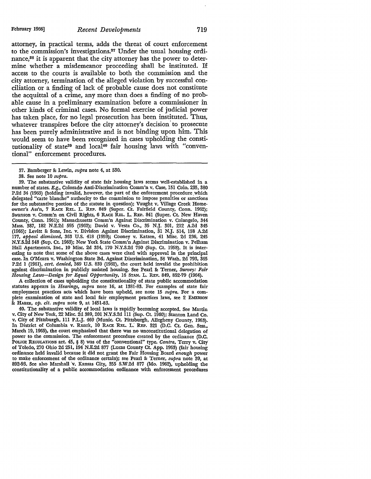attorney, in practical terms, adds the threat of court enforcement to the commission's investigations.87 Under the usual housing ordinance,<sup>88</sup> it is apparent that the city attorney has the power to determine whether a misdemeanor proceeding shall be instituted. If access to the courts is available to both the commission and the city attorney, termination of the alleged violation by successful conciliation or a finding of lack of probable cause does not constitute the acquittal of a crime, any more than does a finding of no probable cause in a preliminary examination before a commissioner in other kinds of criminal cases. No formal exercise of judicial power has taken place, for no legal prosecution has been instituted. Thus, whatever transpires before the city attorney's decision to prosecute has been purely administrative and is not binding upon him. This would seem to have been recognized in cases upholding the constitutionality of state<sup>39</sup> and local<sup>40</sup> fair housing laws with "conventional" enforcement procedures.

A collection of cases upholding the constitutionality of state public accommodation statutes appears in *Hearings, supra* note 16, at 1381-83. For examples of state fair employment practices acts which have been upheld, see note 15 *supra.* For a complete examination of state and local fair employment practices laws, see 2 EMERSON &: HABER, *op. dt. supra* note 9, at 1451-83.

40. The substantive validity of local laws is rapidly becoming accepted. See Martin v. City of New York, 22 Misc. 2d 389, 201 N.Y.S.2d 111 (Sup. Ct. 1960); Stanton Land Co. v. City of Pittsburgh, 111 P.L.J. 469 (Munic. Ct. Pittsburgh, Allegheny County, 1963). In District of Columbia v. Ruark, 10 RACE REL. L. REP. 321 (D.C. Ct. Gen. Sess., March 19, 1965), the court emphasized that there was no unconstitutional delegation of power to the commission. The enforcement procedure created by the ordinance (D.C. Pouce Regulations art. 45, § 8) was of the "conventional" type. *Contra*, Terry v. City of Toledo, 270 Ohio 2d 251, 194 N.E.2d 877 (Lucas County Ct. App. 1963) (fair housing ordinance held invalid because it did not grant the Fair Housing Board *enough* power to make enforcement of the ordinance certain); see Pearl &: Temer, *supra* note 39, at 892-93. See also Marshall ·v. Kansas City, 355 S.W.2d 877 (Mo. 1962), upholding the constitutionality of a public accommodation ordinance with enforcement procedures

<sup>37.</sup> Bamberger&: Lewin, *supra* note 4, at 530.

<sup>38.</sup> See note 10 *supra.* 

<sup>39.</sup> The substantive validity of state fair housing laws seems well-established in a number of states. *E.g.,* Colorado Anti-Discrimination Comm'n v. Case, 151 Colo. 235, 380 P.2d 34 (1963) (holding invalid, however, the part of the enforcement procedure which delegated "carte blanche" authority to the commission to impose penalties or sanctions for the substantive portion of the statute in question); Vaught v. Village Creek Homeowner's Ass'n, 7 RACE REL. L. REP. 849 (Super. Ct. Fairfield County, Conn. 1962); Swanson v. Comm'n on Civil Rights, 6 RACE REL. L. REP. 841 (Super. Ct. New Haven County, Conn. 1961); Massachusetts Comm'n Against Discrimination v. Colangelo, 344 Mass. 387, 182 N.E.2d 595 (1962); David v. Vesta Co., 35 N.J. 301, 212 A.2d 345 (1965); Levitt &: Sons, Inc. v. Division Against Discrimination, 31 N.J. 514, 158 A.2d 177, *appeal dismissed,* 363 U.S. 418 (1959); Cooney v. Katzen, 41 Misc. 2d 236, 245 N.Y.S.2d 548 (Sup. Ct. 1963); New York State Comm'n Against Discrimination v. Pelham Hall Apartments, Inc., IO Misc. 2d 334, 170 N.Y.S.2d 750 (Sup. Ct. 1958). It is interesting to note that some of the above cases were cited with approval in the principal case. In O'Meara v. Washington State Bd. Against Discrimination, 58 Wash. 2d 793, 365 P.2d I (1961), *cert. denied,* 369 U.S. 839 (1962), the court held invalid the prohibition against discrimination in publicly assisted housing. See Pearl &: Terner, *Survey: Fair Housing Laws-Design for Equal Opportunity,* 16 STAN. L. REv. 849, 852-79 (1964).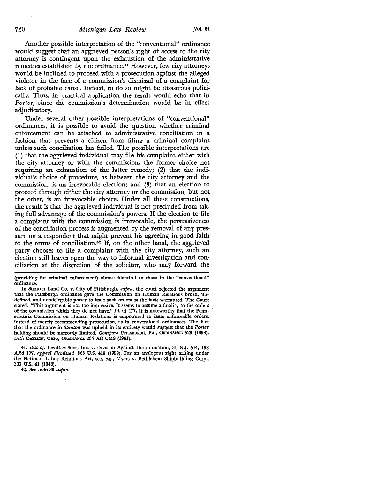Another possible interpretation of the "conventional" ordinance would suggest that an aggrieved person's right of access to the city attorney is contingent upon the exhaustion of the administrative remedies established by the ordinance.41 However, few city attorneys would be inclined to proceed with a prosecution against the alleged violator in the face of a commission's dismissal of a complaint for lack of probable cause. Indeed, to do so might be disastrous politically. Thus, in practical application the result would echo that in *Porter,* since the commission's determination would be in effect adjudicatory.

Under several other possible interpretations of "conventional" ordinances, it is possible to avoid the question whether criminal enforcement can be attached to administrative conciliation in a fashion that prevents a citizen from filing a criminal complaint unless such conciliation has failed. The possible interpretations are (I) that the aggrieved individual may file his complaint either with the city attorney or with the commission, the former choice not requiring an exhaustion of the latter remedy; (2) that the individual's choice of procedure, as between the city attorney and the commission, is an irrevocable election; and (3) that an election to proceed through either the city attorney or the commission, but not the other, is an irrevocable choice. Under all these constructions, the result is that the aggrieved individual is not precluded from taking full advantage of the commission's powers. If the election to file a complaint with the commission is irrevocable, the persuasiveness of the conciliation process is augmented by the removal of any pressure on a respondent that might prevent his agreeing in good faith to the terms of conciliation.42 If, on the other hand, the aggrieved party chooses to file a complaint with the city attorney, such an election still leaves open the way to informal investigation and conciliation at the discretion of the solicitor, who may forward the

(providing for criminal enforcement) almost identical to those in the "conventional" ordinance.

In Stanton Land Co. v. City of Pittsburgh, *supra*, the court rejected the argument that the Pittsburgh ordinance gave the Commission on Human Relations broad, undefined, and nondelegable power to issue such orders as the facts warranted. The Court stated: "This argument is not too impressive. It seems to assume a finality to the orders of the commission which they do not have." *Id.* at 477. It is noteworthy that the Penn• sylvania Commission on Human Relations is empowered to issue enforceable orders, instead of merely recommending prosecution, as in conventional ordinances. The fact that the ordinance in *Stanton* was upheld in its entirety would suggest that the *Porter*  holding should be narrowly limited. *Compare* PITTSBURGH, PA., ORDINANCE 523 (1958), . *with* OBERLIN, Omo, ORDINANCE 235 AC CMS (1961).

41. *But cf.* Levitt & Sons, Inc. v. Division Against Discrimination, 31 N.J. 514, 158 A.2d 177, *appeal dismissed,* 363 U.S. 418 (1959). For an analogous right arising under the National Labor Relations Act, see, e.g., Myers v. Bethlehem Shipbuilding Corp., 303 U.S. 41 (1948).

42. See note 36 *supra.*